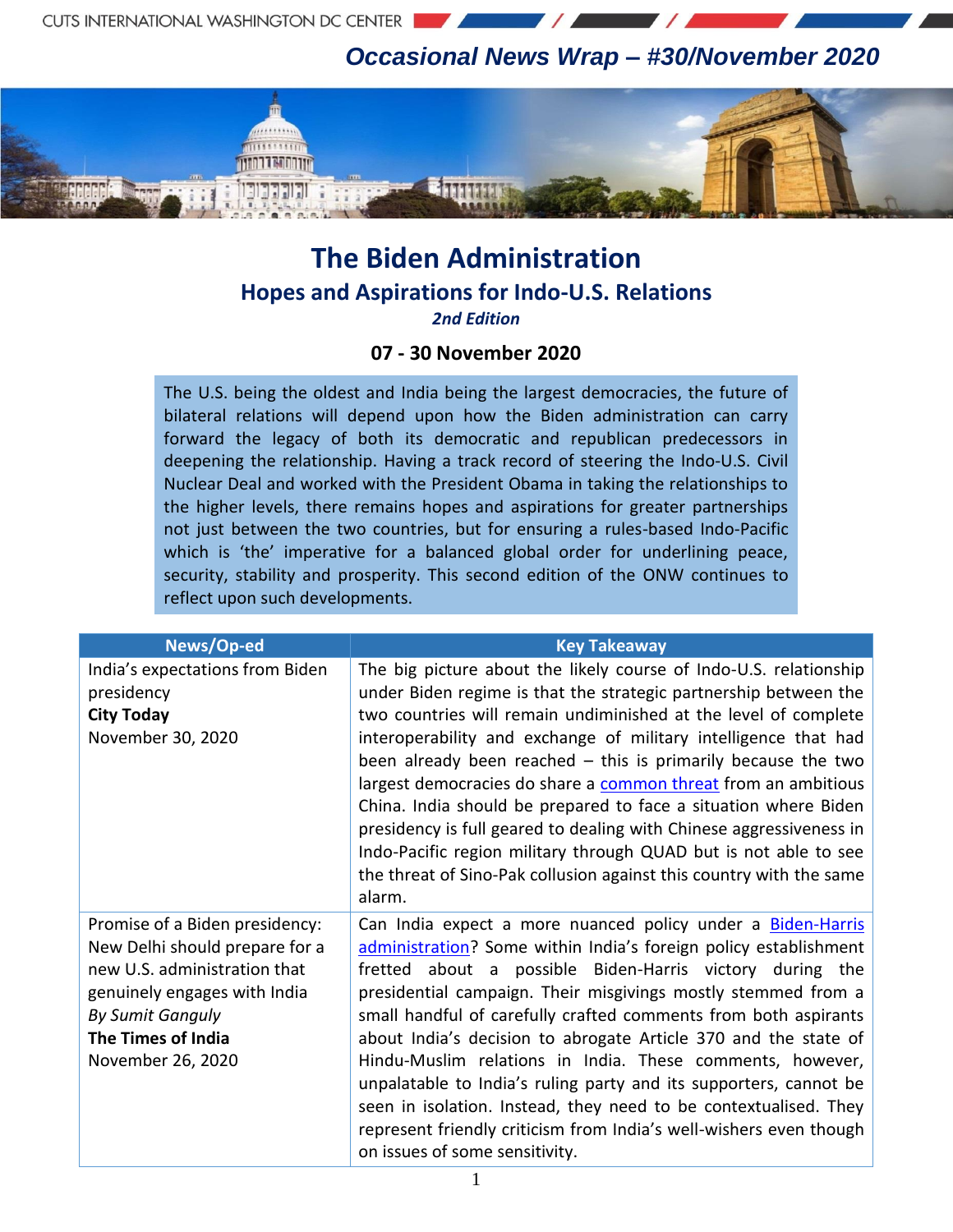1111111 **TITLE SECTION**  *Occasional News Wrap – #30/November 2020*

## **The Biden Administration Hopes and Aspirations for Indo-U.S. Relations**

**Cinner** 

*2nd Edition*

## **07 - 30 November 2020**

The U.S. being the oldest and India being the largest democracies, the future of bilateral relations will depend upon how the Biden administration can carry forward the legacy of both its democratic and republican predecessors in deepening the relationship. Having a track record of steering the Indo-U.S. Civil Nuclear Deal and worked with the President Obama in taking the relationships to the higher levels, there remains hopes and aspirations for greater partnerships not just between the two countries, but for ensuring a rules-based Indo-Pacific which is 'the' imperative for a balanced global order for underlining peace, security, stability and prosperity. This second edition of the ONW continues to reflect upon such developments.

| News/Op-ed                                                                                                                                                                                             | <b>Key Takeaway</b>                                                                                                                                                                                                                                                                                                                                                                                                                                                                                                                                                                                                                                                                                                    |
|--------------------------------------------------------------------------------------------------------------------------------------------------------------------------------------------------------|------------------------------------------------------------------------------------------------------------------------------------------------------------------------------------------------------------------------------------------------------------------------------------------------------------------------------------------------------------------------------------------------------------------------------------------------------------------------------------------------------------------------------------------------------------------------------------------------------------------------------------------------------------------------------------------------------------------------|
| India's expectations from Biden<br>presidency<br><b>City Today</b><br>November 30, 2020                                                                                                                | The big picture about the likely course of Indo-U.S. relationship<br>under Biden regime is that the strategic partnership between the<br>two countries will remain undiminished at the level of complete<br>interoperability and exchange of military intelligence that had<br>been already been reached $-$ this is primarily because the two<br>largest democracies do share a <b>common threat</b> from an ambitious<br>China. India should be prepared to face a situation where Biden<br>presidency is full geared to dealing with Chinese aggressiveness in<br>Indo-Pacific region military through QUAD but is not able to see<br>the threat of Sino-Pak collusion against this country with the same<br>alarm. |
| Promise of a Biden presidency:<br>New Delhi should prepare for a<br>new U.S. administration that<br>genuinely engages with India<br><b>By Sumit Ganguly</b><br>The Times of India<br>November 26, 2020 | Can India expect a more nuanced policy under a Biden-Harris<br>administration? Some within India's foreign policy establishment<br>fretted about a possible Biden-Harris victory during the<br>presidential campaign. Their misgivings mostly stemmed from a<br>small handful of carefully crafted comments from both aspirants<br>about India's decision to abrogate Article 370 and the state of<br>Hindu-Muslim relations in India. These comments, however,<br>unpalatable to India's ruling party and its supporters, cannot be<br>seen in isolation. Instead, they need to be contextualised. They<br>represent friendly criticism from India's well-wishers even though<br>on issues of some sensitivity.       |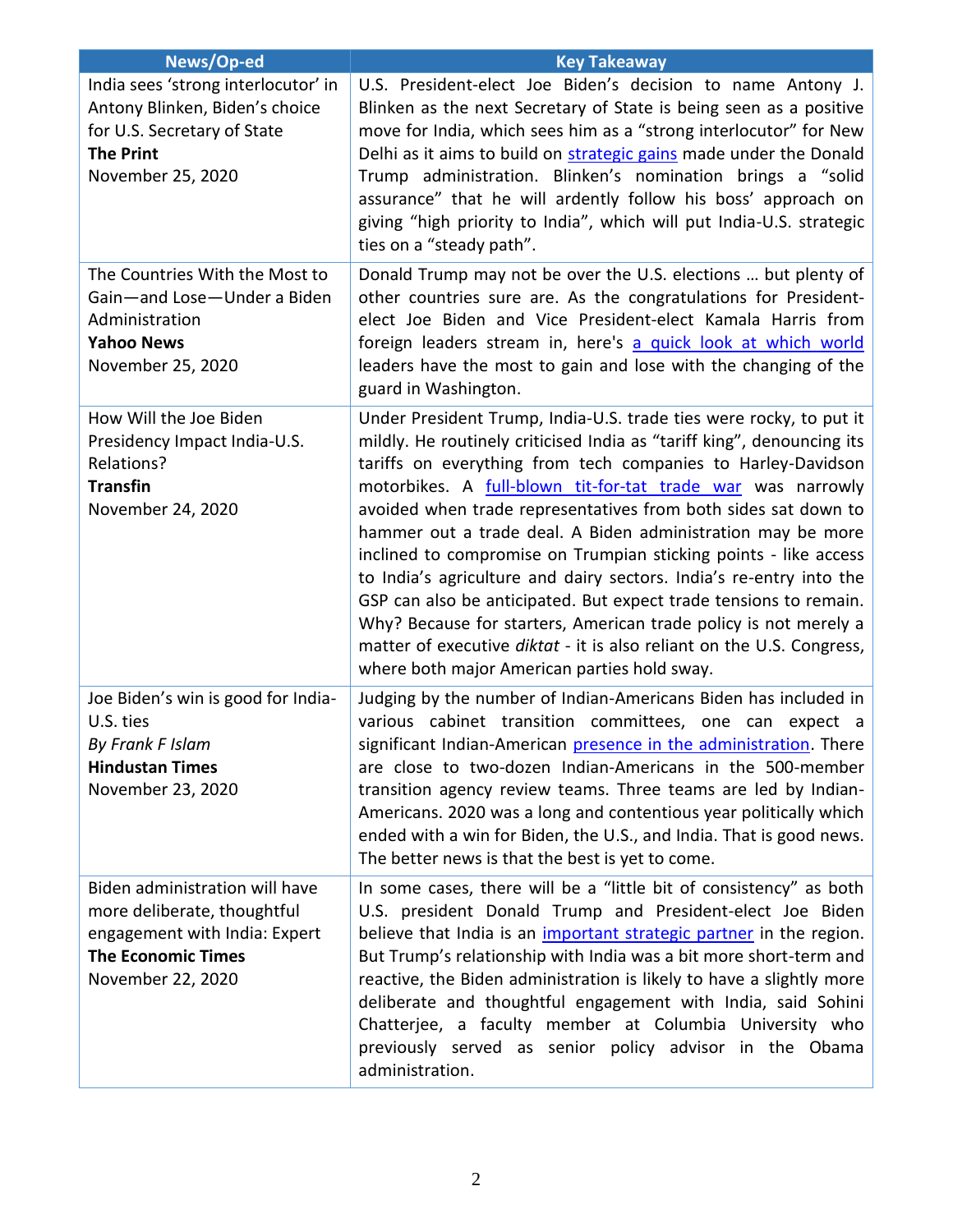| News/Op-ed                                                                                                                                       | <b>Key Takeaway</b>                                                                                                                                                                                                                                                                                                                                                                                                                                                                                                                                                                                                                                                                                                                                                                                                       |
|--------------------------------------------------------------------------------------------------------------------------------------------------|---------------------------------------------------------------------------------------------------------------------------------------------------------------------------------------------------------------------------------------------------------------------------------------------------------------------------------------------------------------------------------------------------------------------------------------------------------------------------------------------------------------------------------------------------------------------------------------------------------------------------------------------------------------------------------------------------------------------------------------------------------------------------------------------------------------------------|
| India sees 'strong interlocutor' in<br>Antony Blinken, Biden's choice<br>for U.S. Secretary of State<br><b>The Print</b><br>November 25, 2020    | U.S. President-elect Joe Biden's decision to name Antony J.<br>Blinken as the next Secretary of State is being seen as a positive<br>move for India, which sees him as a "strong interlocutor" for New<br>Delhi as it aims to build on strategic gains made under the Donald<br>Trump administration. Blinken's nomination brings a "solid<br>assurance" that he will ardently follow his boss' approach on<br>giving "high priority to India", which will put India-U.S. strategic<br>ties on a "steady path".                                                                                                                                                                                                                                                                                                           |
| The Countries With the Most to<br>Gain-and Lose-Under a Biden<br>Administration<br><b>Yahoo News</b><br>November 25, 2020                        | Donald Trump may not be over the U.S. elections  but plenty of<br>other countries sure are. As the congratulations for President-<br>elect Joe Biden and Vice President-elect Kamala Harris from<br>foreign leaders stream in, here's a quick look at which world<br>leaders have the most to gain and lose with the changing of the<br>guard in Washington.                                                                                                                                                                                                                                                                                                                                                                                                                                                              |
| How Will the Joe Biden<br>Presidency Impact India-U.S.<br>Relations?<br><b>Transfin</b><br>November 24, 2020                                     | Under President Trump, India-U.S. trade ties were rocky, to put it<br>mildly. He routinely criticised India as "tariff king", denouncing its<br>tariffs on everything from tech companies to Harley-Davidson<br>motorbikes. A full-blown tit-for-tat trade war was narrowly<br>avoided when trade representatives from both sides sat down to<br>hammer out a trade deal. A Biden administration may be more<br>inclined to compromise on Trumpian sticking points - like access<br>to India's agriculture and dairy sectors. India's re-entry into the<br>GSP can also be anticipated. But expect trade tensions to remain.<br>Why? Because for starters, American trade policy is not merely a<br>matter of executive diktat - it is also reliant on the U.S. Congress,<br>where both major American parties hold sway. |
| Joe Biden's win is good for India-<br>U.S. ties<br>By Frank F Islam<br><b>Hindustan Times</b><br>November 23, 2020                               | Judging by the number of Indian-Americans Biden has included in<br>various cabinet transition committees, one can expect a<br>significant Indian-American presence in the administration. There<br>are close to two-dozen Indian-Americans in the 500-member<br>transition agency review teams. Three teams are led by Indian-<br>Americans. 2020 was a long and contentious year politically which<br>ended with a win for Biden, the U.S., and India. That is good news.<br>The better news is that the best is yet to come.                                                                                                                                                                                                                                                                                            |
| Biden administration will have<br>more deliberate, thoughtful<br>engagement with India: Expert<br><b>The Economic Times</b><br>November 22, 2020 | In some cases, there will be a "little bit of consistency" as both<br>U.S. president Donald Trump and President-elect Joe Biden<br>believe that India is an <i>important strategic partner</i> in the region.<br>But Trump's relationship with India was a bit more short-term and<br>reactive, the Biden administration is likely to have a slightly more<br>deliberate and thoughtful engagement with India, said Sohini<br>Chatterjee, a faculty member at Columbia University who<br>previously served as senior policy advisor in the Obama<br>administration.                                                                                                                                                                                                                                                       |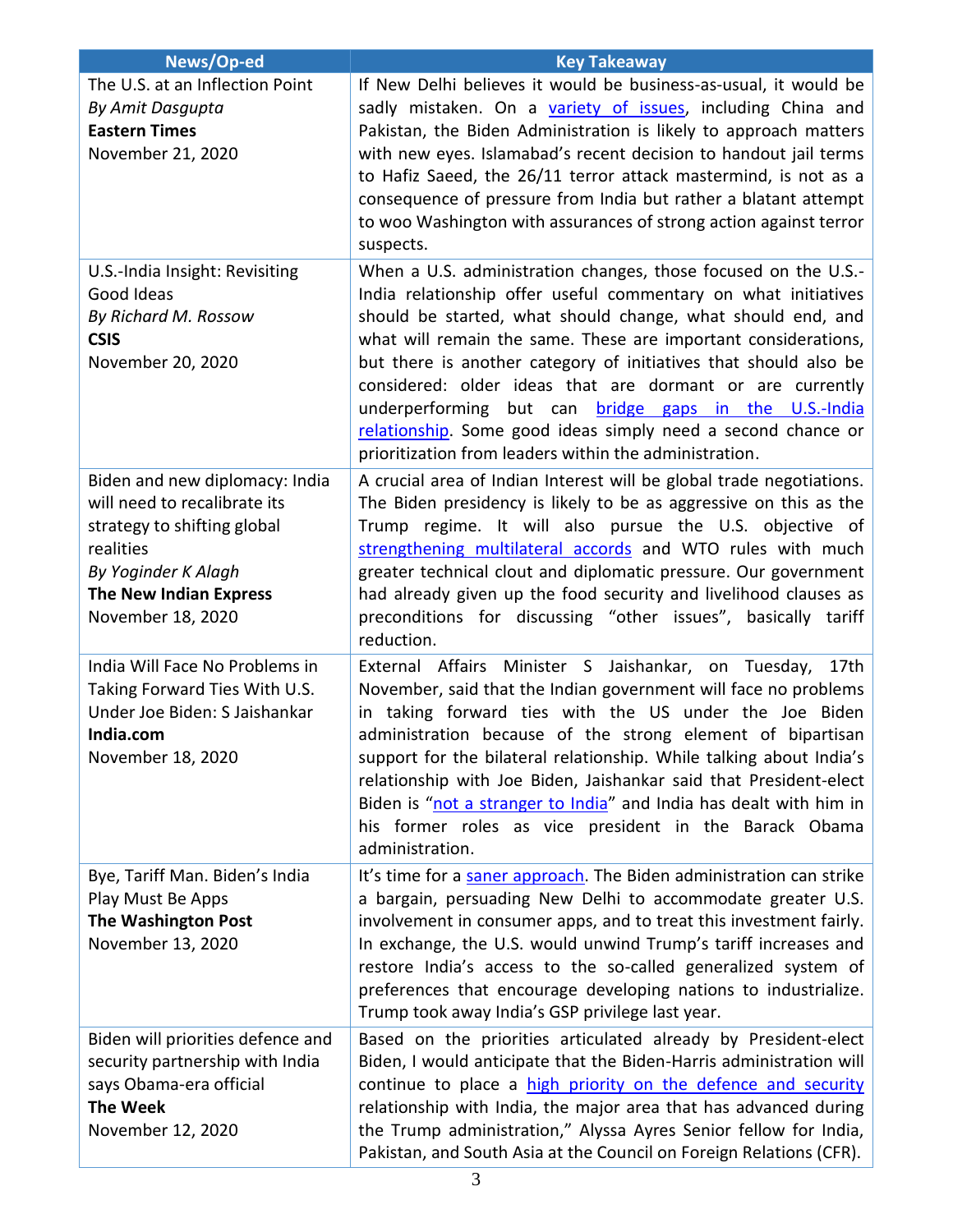| News/Op-ed                               | <b>Key Takeaway</b>                                                                                                                  |
|------------------------------------------|--------------------------------------------------------------------------------------------------------------------------------------|
| The U.S. at an Inflection Point          | If New Delhi believes it would be business-as-usual, it would be                                                                     |
| By Amit Dasgupta                         | sadly mistaken. On a variety of issues, including China and                                                                          |
| <b>Eastern Times</b>                     | Pakistan, the Biden Administration is likely to approach matters                                                                     |
| November 21, 2020                        | with new eyes. Islamabad's recent decision to handout jail terms                                                                     |
|                                          | to Hafiz Saeed, the 26/11 terror attack mastermind, is not as a                                                                      |
|                                          | consequence of pressure from India but rather a blatant attempt<br>to woo Washington with assurances of strong action against terror |
|                                          | suspects.                                                                                                                            |
| U.S.-India Insight: Revisiting           | When a U.S. administration changes, those focused on the U.S.-                                                                       |
| Good Ideas                               | India relationship offer useful commentary on what initiatives                                                                       |
| By Richard M. Rossow                     | should be started, what should change, what should end, and                                                                          |
| <b>CSIS</b>                              | what will remain the same. These are important considerations,                                                                       |
| November 20, 2020                        | but there is another category of initiatives that should also be                                                                     |
|                                          | considered: older ideas that are dormant or are currently                                                                            |
|                                          | underperforming but can <b>bridge gaps in the U.S.-India</b>                                                                         |
|                                          | relationship. Some good ideas simply need a second chance or                                                                         |
|                                          | prioritization from leaders within the administration.                                                                               |
| Biden and new diplomacy: India           | A crucial area of Indian Interest will be global trade negotiations.                                                                 |
| will need to recalibrate its             | The Biden presidency is likely to be as aggressive on this as the<br>Trump regime. It will also pursue the U.S. objective of         |
| strategy to shifting global<br>realities | strengthening multilateral accords and WTO rules with much                                                                           |
| By Yoginder K Alagh                      | greater technical clout and diplomatic pressure. Our government                                                                      |
| <b>The New Indian Express</b>            | had already given up the food security and livelihood clauses as                                                                     |
| November 18, 2020                        | preconditions for discussing "other issues", basically tariff                                                                        |
|                                          | reduction.                                                                                                                           |
| India Will Face No Problems in           | External Affairs Minister S Jaishankar, on Tuesday,<br>17th                                                                          |
| Taking Forward Ties With U.S.            | November, said that the Indian government will face no problems                                                                      |
| Under Joe Biden: S Jaishankar            | in taking forward ties with the US under the Joe Biden                                                                               |
| India.com<br>November 18, 2020           | administration because of the strong element of bipartisan<br>support for the bilateral relationship. While talking about India's    |
|                                          | relationship with Joe Biden, Jaishankar said that President-elect                                                                    |
|                                          | Biden is "not a stranger to India" and India has dealt with him in                                                                   |
|                                          | his former roles as vice president in the Barack Obama                                                                               |
|                                          | administration.                                                                                                                      |
| Bye, Tariff Man. Biden's India           | It's time for a saner approach. The Biden administration can strike                                                                  |
| Play Must Be Apps                        | a bargain, persuading New Delhi to accommodate greater U.S.                                                                          |
| <b>The Washington Post</b>               | involvement in consumer apps, and to treat this investment fairly.                                                                   |
| November 13, 2020                        | In exchange, the U.S. would unwind Trump's tariff increases and                                                                      |
|                                          | restore India's access to the so-called generalized system of                                                                        |
|                                          | preferences that encourage developing nations to industrialize.<br>Trump took away India's GSP privilege last year.                  |
| Biden will priorities defence and        | Based on the priorities articulated already by President-elect                                                                       |
| security partnership with India          | Biden, I would anticipate that the Biden-Harris administration will                                                                  |
| says Obama-era official                  | continue to place a high priority on the defence and security                                                                        |
| <b>The Week</b>                          | relationship with India, the major area that has advanced during                                                                     |
| November 12, 2020                        | the Trump administration," Alyssa Ayres Senior fellow for India,                                                                     |
|                                          | Pakistan, and South Asia at the Council on Foreign Relations (CFR).                                                                  |